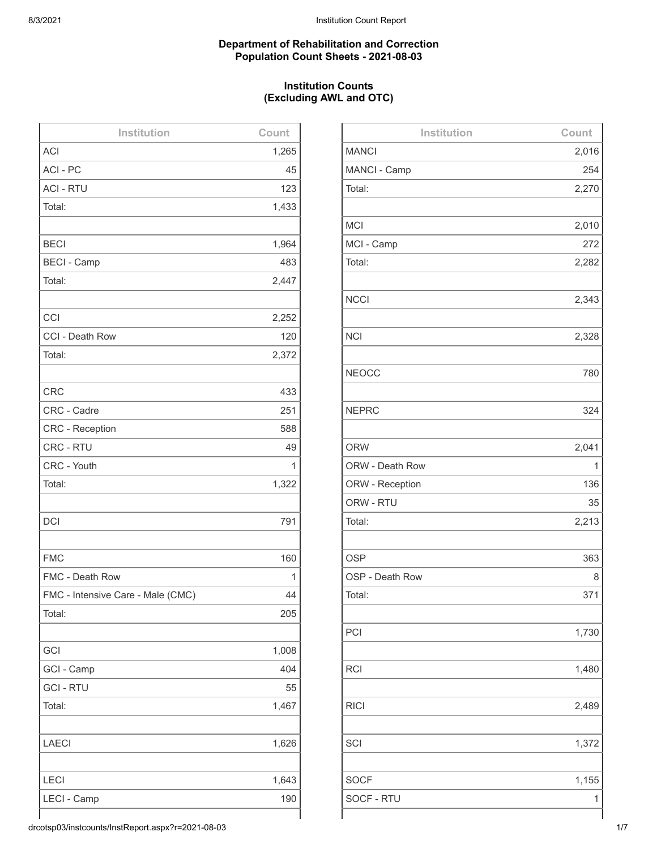#### **Department of Rehabilitation and Correction Population Count Sheets - 2021-08-03**

# **Institution Counts (Excluding AWL and OTC)**

| Institution                       | Count |
|-----------------------------------|-------|
| <b>ACI</b>                        | 1,265 |
| ACI-PC                            | 45    |
| <b>ACI - RTU</b>                  | 123   |
| Total:                            | 1,433 |
|                                   |       |
| <b>BECI</b>                       | 1,964 |
| <b>BECI - Camp</b>                | 483   |
| Total:                            | 2,447 |
|                                   |       |
| CCI                               | 2,252 |
| CCI - Death Row                   | 120   |
| Total:                            | 2,372 |
|                                   |       |
| <b>CRC</b>                        | 433   |
| CRC - Cadre                       | 251   |
| <b>CRC</b> - Reception            | 588   |
| CRC - RTU                         | 49    |
| CRC - Youth                       | 1     |
| Total:                            | 1,322 |
|                                   |       |
| <b>DCI</b>                        | 791   |
|                                   |       |
| <b>FMC</b>                        | 160   |
| FMC - Death Row                   | 1     |
| FMC - Intensive Care - Male (CMC) | 44    |
| Total:                            | 205   |
|                                   |       |
| GCI                               | 1,008 |
| GCI - Camp                        | 404   |
| <b>GCI - RTU</b>                  | 55    |
| Total:                            | 1,467 |
|                                   |       |
| <b>LAECI</b>                      | 1,626 |
|                                   |       |
| LECI                              | 1,643 |
| LECI - Camp                       | 190   |
|                                   |       |

| Institution     | Count |
|-----------------|-------|
| <b>MANCI</b>    | 2,016 |
| MANCI - Camp    | 254   |
| Total:          | 2,270 |
|                 |       |
| <b>MCI</b>      | 2,010 |
| MCI - Camp      | 272   |
| Total:          | 2,282 |
|                 |       |
| <b>NCCI</b>     | 2,343 |
|                 |       |
| <b>NCI</b>      | 2,328 |
|                 |       |
| <b>NEOCC</b>    | 780   |
|                 |       |
| <b>NEPRC</b>    | 324   |
|                 |       |
| <b>ORW</b>      | 2,041 |
| ORW - Death Row | 1     |
| ORW - Reception | 136   |
| ORW - RTU       | 35    |
| Total:          | 2,213 |
|                 |       |
| <b>OSP</b>      | 363   |
| OSP - Death Row | 8     |
| Total:          | 371   |
|                 |       |
| PCI             | 1,730 |
|                 |       |
| <b>RCI</b>      | 1,480 |
|                 |       |
| <b>RICI</b>     | 2,489 |
|                 |       |
| SCI             | 1,372 |
|                 |       |
| <b>SOCF</b>     | 1,155 |
| SOCF - RTU      | 1     |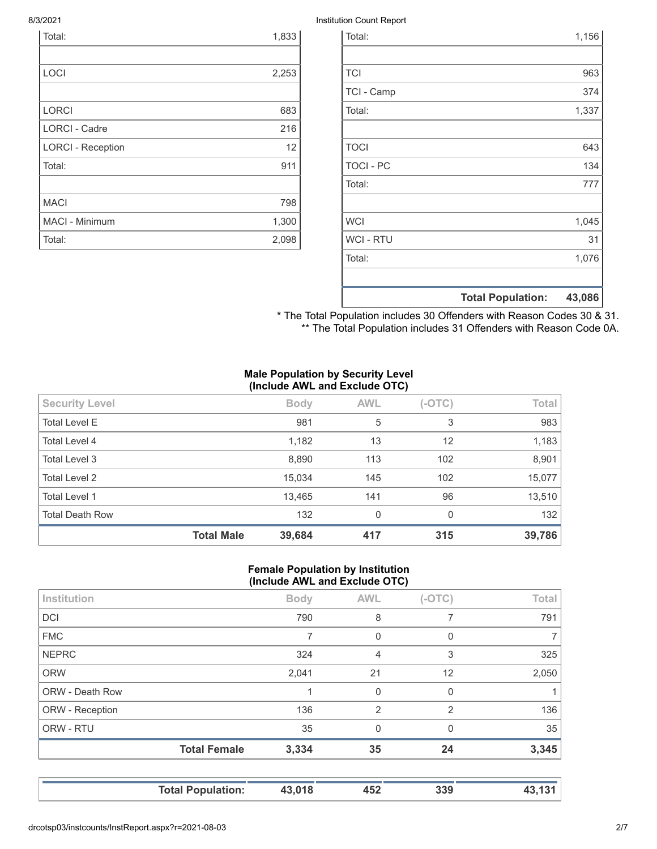| Total:                   | 1,833             |
|--------------------------|-------------------|
|                          |                   |
| LOCI                     | 2,253             |
|                          |                   |
| <b>LORCI</b>             | 683               |
| <b>LORCI - Cadre</b>     | 216               |
| <b>LORCI - Reception</b> | $12 \overline{ }$ |
| Total:                   | 911               |
|                          |                   |
| <b>MACI</b>              | 798               |
| MACI - Minimum           | 1,300             |
| Total:                   | 2,098             |

#### 8/3/2021 Institution Count Report

|                  | <b>Total Population:</b> | 43,086 |
|------------------|--------------------------|--------|
|                  |                          |        |
| Total:           |                          | 1,076  |
| <b>WCI - RTU</b> |                          | 31     |
| <b>WCI</b>       |                          | 1,045  |
|                  |                          |        |
| Total:           |                          | 777    |
| <b>TOCI - PC</b> |                          | 134    |
| <b>TOCI</b>      |                          | 643    |
|                  |                          |        |
| Total:           |                          | 1,337  |
| TCI - Camp       |                          | 374    |
| <b>TCI</b>       |                          | 963    |
|                  |                          |        |
| Total:           |                          | 1,156  |

\* The Total Population includes 30 Offenders with Reason Codes 30 & 31. \*\* The Total Population includes 31 Offenders with Reason Code 0A.

## **Male Population by Security Level (Include AWL and Exclude OTC)**

| <b>Security Level</b>  |                   | <b>Body</b> | <b>AWL</b> | $(-OTC)$ | Total  |
|------------------------|-------------------|-------------|------------|----------|--------|
| <b>Total Level E</b>   |                   | 981         | 5          | 3        | 983    |
| Total Level 4          |                   | 1,182       | 13         | 12       | 1,183  |
| Total Level 3          |                   | 8,890       | 113        | 102      | 8,901  |
| <b>Total Level 2</b>   |                   | 15,034      | 145        | 102      | 15,077 |
| <b>Total Level 1</b>   |                   | 13,465      | 141        | 96       | 13,510 |
| <b>Total Death Row</b> |                   | 132         | 0          | $\Omega$ | 132    |
|                        | <b>Total Male</b> | 39,684      | 417        | 315      | 39,786 |

### **Female Population by Institution (Include AWL and Exclude OTC)**

|                        | <b>Total Female</b> | 3,334       | 35             | 24             | 3,345 |
|------------------------|---------------------|-------------|----------------|----------------|-------|
| ORW - RTU              |                     | 35          | $\mathbf 0$    | $\Omega$       | 35    |
| ORW - Reception        |                     | 136         | $\overline{2}$ | $\overline{2}$ | 136   |
| <b>ORW - Death Row</b> |                     |             | $\mathbf 0$    | 0              |       |
| <b>ORW</b>             |                     | 2,041       | 21             | 12             | 2,050 |
| <b>NEPRC</b>           |                     | 324         | 4              | 3              | 325   |
| <b>FMC</b>             |                     | 7           | 0              | 0              | 7     |
| <b>DCI</b>             |                     | 790         | 8              |                | 791   |
| Institution            |                     | <b>Body</b> | <b>AWL</b>     | $(-OTC)$       | Total |
|                        |                     |             |                |                |       |

| <b>Total Population:</b> | 43,018 | 452 | 339 | 43,131 |
|--------------------------|--------|-----|-----|--------|
|--------------------------|--------|-----|-----|--------|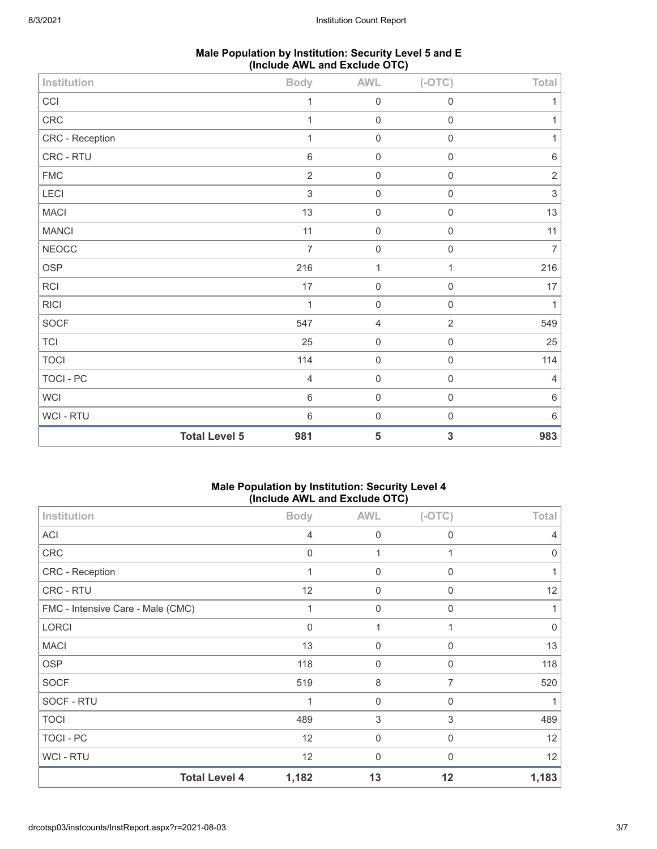| Male Population by Institution: Security Level 5 and E |
|--------------------------------------------------------|
| (Include AWL and Exclude OTC)                          |

| Institution     |                      | <b>Body</b>    | <b>AWL</b>     | $(-OTC)$            | Total                     |
|-----------------|----------------------|----------------|----------------|---------------------|---------------------------|
| CCI             |                      | 1              | $\mathbf 0$    | $\mathbf 0$         | 1                         |
| ${\sf CRC}$     |                      | 1              | $\mathbf 0$    | $\mathbf 0$         | 1                         |
| CRC - Reception |                      | 1              | $\mathbf 0$    | $\mathbf 0$         | 1                         |
| CRC - RTU       |                      | $6\,$          | $\mathbf 0$    | $\mathbf 0$         | $\,6\,$                   |
| <b>FMC</b>      |                      | $\sqrt{2}$     | $\mathbf 0$    | $\mathbf 0$         | $\sqrt{2}$                |
| LECI            |                      | $\mathfrak{S}$ | $\mathbf 0$    | $\mathsf{O}\xspace$ | $\ensuremath{\mathsf{3}}$ |
| <b>MACI</b>     |                      | 13             | $\mathbf 0$    | $\mathbf 0$         | 13                        |
| <b>MANCI</b>    |                      | 11             | $\mathbf 0$    | $\mathbf 0$         | 11                        |
| <b>NEOCC</b>    |                      | $\overline{7}$ | $\mathbf 0$    | $\mathbf 0$         | $\overline{7}$            |
| OSP             |                      | 216            | $\mathbf{1}$   | $\mathbf{1}$        | 216                       |
| RCI             |                      | 17             | $\mathbf 0$    | $\mathbf 0$         | 17                        |
| <b>RICI</b>     |                      | 1              | $\mathbf 0$    | $\mathbf 0$         | 1                         |
| SOCF            |                      | 547            | $\overline{4}$ | $\overline{2}$      | 549                       |
| TCI             |                      | 25             | $\mathbf 0$    | $\mathbf 0$         | 25                        |
| <b>TOCI</b>     |                      | 114            | $\mathbf 0$    | $\mathsf{O}\xspace$ | 114                       |
| TOCI - PC       |                      | $\overline{4}$ | $\mathbf 0$    | $\mathbf 0$         | 4                         |
| <b>WCI</b>      |                      | $\,6\,$        | $\mathbf 0$    | $\mathbf 0$         | $\,6\,$                   |
| WCI - RTU       |                      | $\,6\,$        | $\mathbf 0$    | $\mathbf 0$         | $\,6\,$                   |
|                 | <b>Total Level 5</b> | 981            | 5              | 3                   | 983                       |

# **Male Population by Institution: Security Level 4 (Include AWL and Exclude OTC)**

| Institution                       | <b>Body</b> | <b>AWL</b>  | $(-OTC)$    | Total    |
|-----------------------------------|-------------|-------------|-------------|----------|
| <b>ACI</b>                        | 4           | $\mathbf 0$ | 0           | 4        |
| CRC                               | 0           |             |             | 0        |
| CRC - Reception                   | 1           | $\mathbf 0$ | $\mathbf 0$ |          |
| CRC - RTU                         | 12          | 0           | $\Omega$    | 12       |
| FMC - Intensive Care - Male (CMC) |             | $\mathbf 0$ | $\Omega$    |          |
| LORCI                             | $\Omega$    | 1           | 1           | $\Omega$ |
| <b>MACI</b>                       | 13          | $\mathbf 0$ | 0           | 13       |
| <b>OSP</b>                        | 118         | $\mathbf 0$ | 0           | 118      |
| <b>SOCF</b>                       | 519         | 8           | 7           | 520      |
| SOCF - RTU                        | 1           | $\mathbf 0$ | $\mathbf 0$ |          |
| <b>TOCI</b>                       | 489         | 3           | 3           | 489      |
| TOCI - PC                         | 12          | $\mathbf 0$ | $\mathbf 0$ | 12       |
| WCI - RTU                         | 12          | $\mathbf 0$ | $\Omega$    | 12       |
| <b>Total Level 4</b>              | 1,182       | 13          | 12          | 1,183    |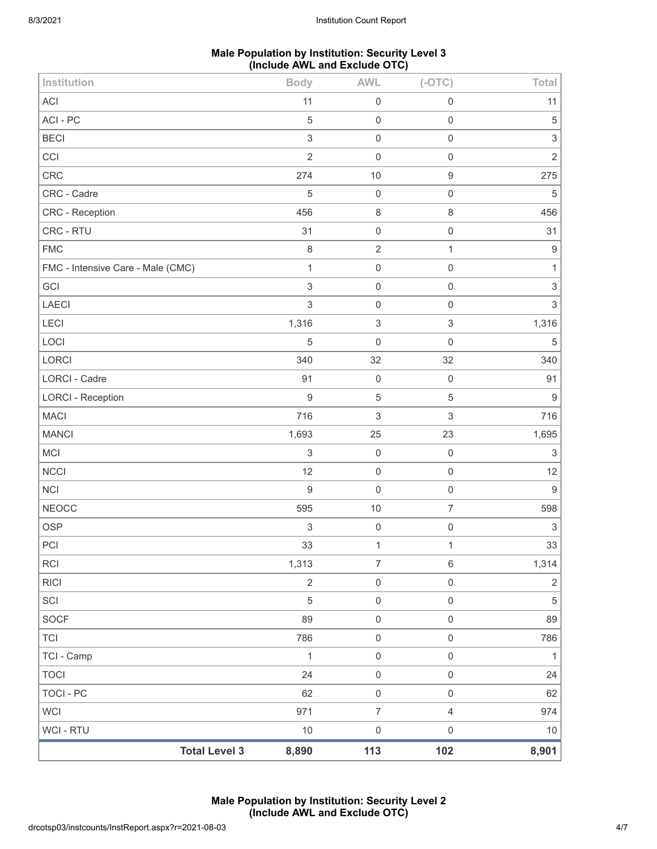# **Male Population by Institution: Security Level 3 (Include AWL and Exclude OTC)**

| Institution                       |                      | <b>Body</b>      | <b>AWL</b>                | $(-OTC)$                  | Total                     |
|-----------------------------------|----------------------|------------------|---------------------------|---------------------------|---------------------------|
| <b>ACI</b>                        |                      | 11               | $\mathbf 0$               | $\mathsf{O}\xspace$       | 11                        |
| ACI-PC                            |                      | 5                | $\mathbf 0$               | $\mathsf 0$               | 5                         |
| <b>BECI</b>                       |                      | $\mathfrak{S}$   | $\mathbf 0$               | $\mathbf 0$               | $\ensuremath{\mathsf{3}}$ |
| CCI                               |                      | $\overline{2}$   | $\mathbf 0$               | $\mathbf 0$               | $\overline{2}$            |
| CRC                               |                      | 274              | 10                        | $\boldsymbol{9}$          | 275                       |
| CRC - Cadre                       |                      | 5                | $\mathbf 0$               | $\mathsf{O}\xspace$       | $\sqrt{5}$                |
| CRC - Reception                   |                      | 456              | $\,8\,$                   | 8                         | 456                       |
| CRC - RTU                         |                      | 31               | $\mathbf 0$               | $\mathbf 0$               | 31                        |
| <b>FMC</b>                        |                      | $\,8\,$          | $\sqrt{2}$                | 1                         | $9\,$                     |
| FMC - Intensive Care - Male (CMC) |                      | $\mathbf{1}$     | $\mathbf 0$               | $\mathsf 0$               | 1                         |
| GCI                               |                      | $\,$ 3 $\,$      | $\mathbf 0$               | $\mathsf{O}\xspace$       | 3                         |
| LAECI                             |                      | $\mathfrak{S}$   | $\mathbf 0$               | $\mathbf 0$               | $\mathsf 3$               |
| LECI                              |                      | 1,316            | $\ensuremath{\mathsf{3}}$ | $\ensuremath{\mathsf{3}}$ | 1,316                     |
| LOCI                              |                      | 5                | $\mathbf 0$               | $\mathbf 0$               | $\sqrt{5}$                |
| <b>LORCI</b>                      |                      | 340              | 32                        | 32                        | 340                       |
| <b>LORCI - Cadre</b>              |                      | 91               | $\mathbf 0$               | $\mathbf 0$               | 91                        |
| <b>LORCI - Reception</b>          |                      | $\boldsymbol{9}$ | $\sqrt{5}$                | 5                         | 9                         |
| <b>MACI</b>                       |                      | 716              | $\sqrt{3}$                | $\ensuremath{\mathsf{3}}$ | 716                       |
| <b>MANCI</b>                      |                      | 1,693            | 25                        | 23                        | 1,695                     |
| <b>MCI</b>                        |                      | $\,$ 3 $\,$      | $\mathbf 0$               | $\mathbf 0$               | $\sqrt{3}$                |
| <b>NCCI</b>                       |                      | 12               | $\mathbf 0$               | $\mathbf 0$               | 12                        |
| <b>NCI</b>                        |                      | $\boldsymbol{9}$ | $\mathbf 0$               | $\mathsf 0$               | $\boldsymbol{9}$          |
| <b>NEOCC</b>                      |                      | 595              | 10                        | $\overline{7}$            | 598                       |
| <b>OSP</b>                        |                      | 3                | $\mathbf 0$               | $\mathbf 0$               | 3                         |
| PCI                               |                      | 33               | $\mathbf 1$               | 1                         | 33                        |
| <b>RCI</b>                        |                      | 1,313            | $\boldsymbol{7}$          | $\,6\,$                   | 1,314                     |
| <b>RICI</b>                       |                      | $\overline{2}$   | $\mathbf 0$               | $\boldsymbol{0}$          | $\overline{2}$            |
| SCI                               |                      | 5                | $\mathbf 0$               | $\mathsf{O}\xspace$       | 5                         |
| SOCF                              |                      | 89               | $\mathbf 0$               | $\mathsf{O}\xspace$       | 89                        |
| <b>TCI</b>                        |                      | 786              | $\mathbf 0$               | $\mathsf{O}\xspace$       | 786                       |
| TCI - Camp                        |                      | $\mathbf{1}$     | $\mathbf 0$               | $\mathsf{O}\xspace$       | $\mathbf{1}$              |
| <b>TOCI</b>                       |                      | 24               | $\mathbf 0$               | $\mathsf{O}\xspace$       | 24                        |
| <b>TOCI - PC</b>                  |                      | 62               | $\mathbf 0$               | $\mathsf{O}\xspace$       | 62                        |
| <b>WCI</b>                        |                      | 971              | $\overline{7}$            | $\overline{4}$            | 974                       |
| <b>WCI - RTU</b>                  |                      | $10$             | $\mathbf 0$               | $\mathsf{O}\xspace$       | $10$                      |
|                                   | <b>Total Level 3</b> | 8,890            | 113                       | 102                       | 8,901                     |

**Male Population by Institution: Security Level 2 (Include AWL and Exclude OTC)**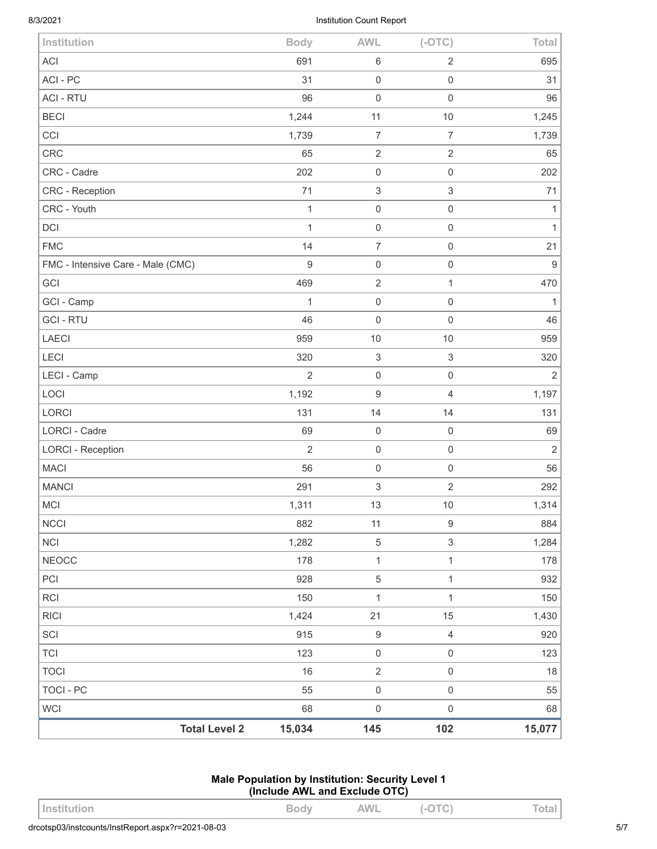| <b>Total Level 2</b>              | 15,034           | 145                       | 102                       | 15,077           |
|-----------------------------------|------------------|---------------------------|---------------------------|------------------|
| <b>WCI</b>                        | 68               | $\mathsf{O}\xspace$       | $\mathbf 0$               | 68               |
| <b>TOCI - PC</b>                  | 55               | $\mathsf{O}\xspace$       | $\mathbf 0$               | 55               |
| <b>TOCI</b>                       | 16               | $\overline{2}$            | $\mathsf{O}\xspace$       | 18               |
| <b>TCI</b>                        | 123              | $\mathsf{O}\xspace$       | $\mathsf{O}\xspace$       | 123              |
| SCI                               | 915              | $\boldsymbol{9}$          | $\overline{4}$            | 920              |
| <b>RICI</b>                       | 1,424            | 21                        | 15                        | 1,430            |
| <b>RCI</b>                        | 150              | $\mathbf{1}$              | $\mathbf{1}$              | 150              |
| PCI                               | 928              | $\,$ 5 $\,$               | $\mathbf{1}$              | 932              |
| <b>NEOCC</b>                      | 178              | $\mathbf{1}$              | $\mathbf 1$               | 178              |
| <b>NCI</b>                        | 1,282            | $\,$ 5 $\,$               | $\mathfrak{S}$            | 1,284            |
| <b>NCCI</b>                       | 882              | 11                        | $\boldsymbol{9}$          | 884              |
| <b>MCI</b>                        | 1,311            | 13                        | 10                        | 1,314            |
| <b>MANCI</b>                      | 291              | $\ensuremath{\mathsf{3}}$ | $\mathbf{2}$              | 292              |
| <b>MACI</b>                       | 56               | $\mathsf{O}\xspace$       | $\mathbf 0$               | 56               |
| <b>LORCI - Reception</b>          | $\overline{2}$   | $\mathsf{O}\xspace$       | $\mathbf 0$               | $\sqrt{2}$       |
| LORCI - Cadre                     | 69               | $\mathbf 0$               | $\mathbf 0$               | 69               |
| LORCI                             | 131              | 14                        | 14                        | 131              |
| LOCI                              | 1,192            | $\boldsymbol{9}$          | $\sqrt{4}$                | 1,197            |
| LECI - Camp                       | $\overline{2}$   | $\mathsf{O}\xspace$       | $\mathbf 0$               | $\overline{2}$   |
| LECI                              | 320              | $\ensuremath{\mathsf{3}}$ | $\ensuremath{\mathsf{3}}$ | 320              |
| <b>LAECI</b>                      | 959              | $10$                      | 10                        | 959              |
| <b>GCI - RTU</b>                  | 46               | $\mathbf 0$               | $\mathbf 0$               | 46               |
| GCI - Camp                        | 1                | $\mathsf{O}\xspace$       | $\mathbf 0$               | $\mathbf{1}$     |
| GCI                               | 469              | $\overline{2}$            | $\mathbf{1}$              | 470              |
| FMC - Intensive Care - Male (CMC) | $\boldsymbol{9}$ | $\mathsf{O}\xspace$       | $\mathbf 0$               | $\boldsymbol{9}$ |
| <b>FMC</b>                        | 14               | $\overline{7}$            | $\mathbf 0$               | 21               |
| DCI                               | 1                | $\mathsf{O}\xspace$       | $\mathbf 0$               | $\mathbf{1}$     |
| CRC - Youth                       | $\mathbf{1}$     | $\mathsf{O}\xspace$       | $\mathsf{O}\xspace$       | $\mathbf{1}$     |
| CRC - Reception                   | 71               | $\sqrt{3}$                | $\sqrt{3}$                | 71               |
| CRC - Cadre                       | 202              | $\mathsf{O}\xspace$       | $\mathsf 0$               | 202              |
| CRC                               | 65               | $\mathbf{2}$              | $\mathbf{2}$              | 65               |
| CCI                               | 1,739            | $\overline{7}$            | $\overline{7}$            | 1,739            |
| <b>BECI</b>                       | 1,244            | 11                        | 10                        | 1,245            |
| <b>ACI - RTU</b>                  | 96               | $\mathsf{O}\xspace$       | $\mathbf 0$               | 96               |
| ACI-PC                            | 31               | $\mathsf{O}\xspace$       | $\mathbf 0$               | 31               |
| <b>ACI</b>                        | 691              | $\,6$                     | $\overline{2}$            | 695              |
| Institution                       | <b>Body</b>      | <b>AWL</b>                | $(-OTC)$                  | Total            |

### **Male Population by Institution: Security Level 1 (Include AWL and Exclude OTC)**

| <b>AWL</b><br>$-$<br>Institution<br>◡◡<br>$\tilde{\phantom{a}}$<br>◡<br>- |
|---------------------------------------------------------------------------|
|---------------------------------------------------------------------------|